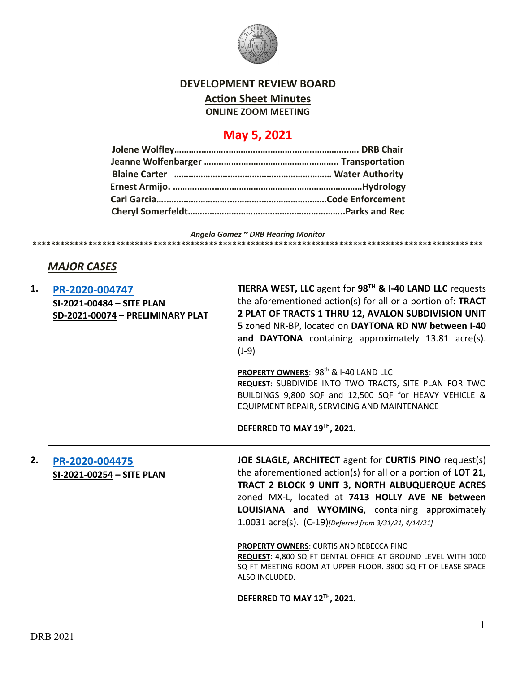

## **DEVELOPMENT REVIEW BOARD**

**Action Sheet Minutes**

**ONLINE ZOOM MEETING**

## **May 5, 2021**

*Angela Gomez ~ DRB Hearing Monitor* **\*\*\*\*\*\*\*\*\*\*\*\*\*\*\*\*\*\*\*\*\*\*\*\*\*\*\*\*\*\*\*\*\*\*\*\*\*\*\*\*\*\*\*\*\*\*\*\*\*\*\*\*\*\*\*\*\*\*\*\*\*\*\*\*\*\*\*\*\*\*\*\*\*\*\*\*\*\*\*\*\*\*\*\*\*\*\*\*\*\*\*\*\*\*\*\*\***

## *MAJOR CASES*

| 1. | PR-2020-004747<br>SI-2021-00484 - SITE PLAN<br>SD-2021-00074 - PRELIMINARY PLAT | TIERRA WEST, LLC agent for 98 <sup>TH</sup> & I-40 LAND LLC requests<br>the aforementioned action(s) for all or a portion of: TRACT<br>2 PLAT OF TRACTS 1 THRU 12, AVALON SUBDIVISION UNIT<br>5 zoned NR-BP, located on DAYTONA RD NW between I-40<br>and DAYTONA containing approximately 13.81 acre(s).<br>$(J-9)$                       |
|----|---------------------------------------------------------------------------------|--------------------------------------------------------------------------------------------------------------------------------------------------------------------------------------------------------------------------------------------------------------------------------------------------------------------------------------------|
|    |                                                                                 | PROPERTY OWNERS: 98 <sup>th</sup> & I-40 LAND LLC<br>REQUEST: SUBDIVIDE INTO TWO TRACTS, SITE PLAN FOR TWO<br>BUILDINGS 9,800 SQF and 12,500 SQF for HEAVY VEHICLE &<br>EQUIPMENT REPAIR, SERVICING AND MAINTENANCE                                                                                                                        |
|    |                                                                                 | DEFERRED TO MAY 19TH, 2021.                                                                                                                                                                                                                                                                                                                |
| 2. | PR-2020-004475<br>SI-2021-00254 - SITE PLAN                                     | JOE SLAGLE, ARCHITECT agent for CURTIS PINO request(s)<br>the aforementioned action(s) for all or a portion of LOT 21,<br>TRACT 2 BLOCK 9 UNIT 3, NORTH ALBUQUERQUE ACRES<br>zoned MX-L, located at 7413 HOLLY AVE NE between<br>LOUISIANA and WYOMING, containing approximately<br>1.0031 acre(s). (C-19)[Deferred from 3/31/21, 4/14/21] |
|    |                                                                                 | <b>PROPERTY OWNERS: CURTIS AND REBECCA PINO</b><br>REQUEST: 4,800 SQ FT DENTAL OFFICE AT GROUND LEVEL WITH 1000<br>SQ FT MEETING ROOM AT UPPER FLOOR. 3800 SQ FT OF LEASE SPACE<br>ALSO INCLUDED.                                                                                                                                          |
|    |                                                                                 | DEFERRED TO MAY 12TH, 2021.                                                                                                                                                                                                                                                                                                                |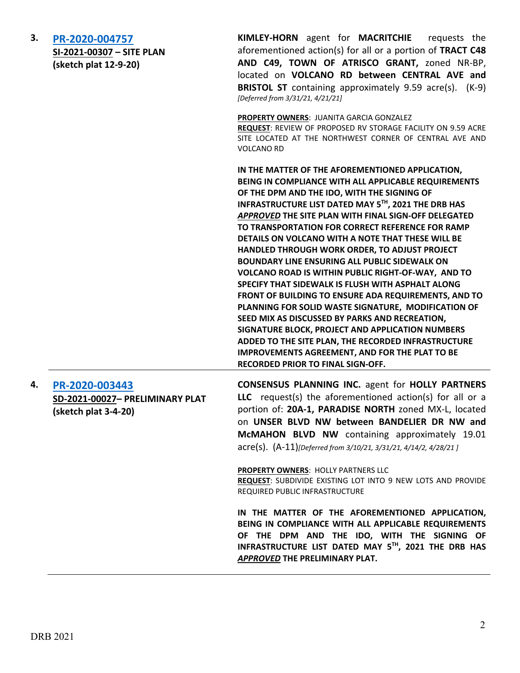| 3. | PR-2020-004757<br>SI-2021-00307 - SITE PLAN<br>(sketch plat 12-9-20)      | <b>KIMLEY-HORN</b> agent for <b>MACRITCHIE</b> requests the<br>aforementioned action(s) for all or a portion of TRACT C48<br>AND C49, TOWN OF ATRISCO GRANT, zoned NR-BP,<br>located on VOLCANO RD between CENTRAL AVE and<br><b>BRISTOL ST</b> containing approximately 9.59 acre(s). (K-9)<br>[Deferred from 3/31/21, 4/21/21]                                                                                                                                                                                                                                                                                                                                                                                                                                                                                                                                                                                                                                       |
|----|---------------------------------------------------------------------------|------------------------------------------------------------------------------------------------------------------------------------------------------------------------------------------------------------------------------------------------------------------------------------------------------------------------------------------------------------------------------------------------------------------------------------------------------------------------------------------------------------------------------------------------------------------------------------------------------------------------------------------------------------------------------------------------------------------------------------------------------------------------------------------------------------------------------------------------------------------------------------------------------------------------------------------------------------------------|
|    |                                                                           | PROPERTY OWNERS: JUANITA GARCIA GONZALEZ<br>REQUEST: REVIEW OF PROPOSED RV STORAGE FACILITY ON 9.59 ACRE<br>SITE LOCATED AT THE NORTHWEST CORNER OF CENTRAL AVE AND<br><b>VOLCANO RD</b>                                                                                                                                                                                                                                                                                                                                                                                                                                                                                                                                                                                                                                                                                                                                                                               |
|    |                                                                           | IN THE MATTER OF THE AFOREMENTIONED APPLICATION,<br>BEING IN COMPLIANCE WITH ALL APPLICABLE REQUIREMENTS<br>OF THE DPM AND THE IDO, WITH THE SIGNING OF<br>INFRASTRUCTURE LIST DATED MAY 5TH, 2021 THE DRB HAS<br>APPROVED THE SITE PLAN WITH FINAL SIGN-OFF DELEGATED<br>TO TRANSPORTATION FOR CORRECT REFERENCE FOR RAMP<br>DETAILS ON VOLCANO WITH A NOTE THAT THESE WILL BE<br>HANDLED THROUGH WORK ORDER, TO ADJUST PROJECT<br>BOUNDARY LINE ENSURING ALL PUBLIC SIDEWALK ON<br>VOLCANO ROAD IS WITHIN PUBLIC RIGHT-OF-WAY, AND TO<br>SPECIFY THAT SIDEWALK IS FLUSH WITH ASPHALT ALONG<br>FRONT OF BUILDING TO ENSURE ADA REQUIREMENTS, AND TO<br>PLANNING FOR SOLID WASTE SIGNATURE, MODIFICATION OF<br>SEED MIX AS DISCUSSED BY PARKS AND RECREATION,<br>SIGNATURE BLOCK, PROJECT AND APPLICATION NUMBERS<br>ADDED TO THE SITE PLAN, THE RECORDED INFRASTRUCTURE<br><b>IMPROVEMENTS AGREEMENT, AND FOR THE PLAT TO BE</b><br>RECORDED PRIOR TO FINAL SIGN-OFF. |
| 4. | PR-2020-003443<br>SD-2021-00027- PRELIMINARY PLAT<br>(sketch plat 3-4-20) | <b>CONSENSUS PLANNING INC. agent for HOLLY PARTNERS</b><br>LLC request(s) the aforementioned action(s) for all or a<br>portion of: 20A-1, PARADISE NORTH zoned MX-L, located<br>on UNSER BLVD NW between BANDELIER DR NW and<br>McMAHON BLVD NW containing approximately 19.01<br>$\text{acre}(s)$ . $(A-11)$ [Deferred from 3/10/21, 3/31/21, 4/14/2, 4/28/21]                                                                                                                                                                                                                                                                                                                                                                                                                                                                                                                                                                                                        |
|    |                                                                           | PROPERTY OWNERS: HOLLY PARTNERS LLC<br>REQUEST: SUBDIVIDE EXISTING LOT INTO 9 NEW LOTS AND PROVIDE<br>REQUIRED PUBLIC INFRASTRUCTURE                                                                                                                                                                                                                                                                                                                                                                                                                                                                                                                                                                                                                                                                                                                                                                                                                                   |
|    |                                                                           | IN THE MATTER OF THE AFOREMENTIONED APPLICATION,<br>BEING IN COMPLIANCE WITH ALL APPLICABLE REQUIREMENTS<br>OF THE DPM AND THE IDO, WITH THE SIGNING OF<br>INFRASTRUCTURE LIST DATED MAY 5TH, 2021 THE DRB HAS<br>APPROVED THE PRELIMINARY PLAT.                                                                                                                                                                                                                                                                                                                                                                                                                                                                                                                                                                                                                                                                                                                       |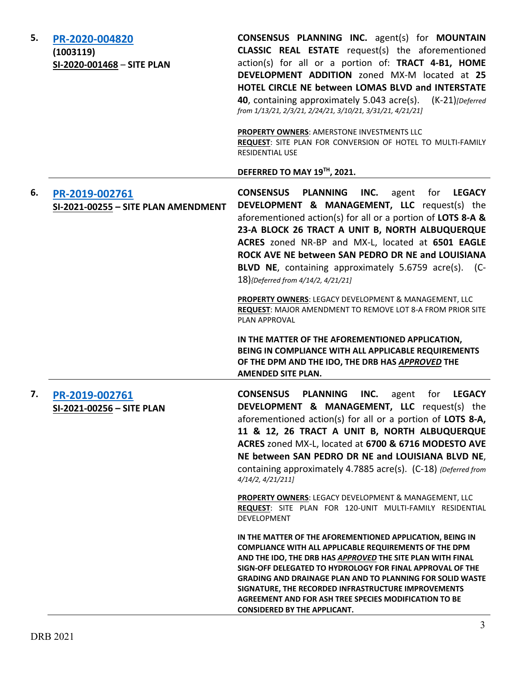| 5. | PR-2020-004820<br>(1003119)<br>SI-2020-001468 - SITE PLAN | <b>CONSENSUS PLANNING INC.</b> agent(s) for <b>MOUNTAIN</b><br><b>CLASSIC REAL ESTATE</b> request(s) the aforementioned<br>action(s) for all or a portion of: TRACT 4-B1, HOME<br>DEVELOPMENT ADDITION zoned MX-M located at 25<br>HOTEL CIRCLE NE between LOMAS BLVD and INTERSTATE<br>40, containing approximately 5.043 acre(s). (K-21) [Deferred]<br>from 1/13/21, 2/3/21, 2/24/21, 3/10/21, 3/31/21, 4/21/21]<br>PROPERTY OWNERS: AMERSTONE INVESTMENTS LLC<br>REQUEST: SITE PLAN FOR CONVERSION OF HOTEL TO MULTI-FAMILY<br>RESIDENTIAL USE                                   |
|----|-----------------------------------------------------------|-------------------------------------------------------------------------------------------------------------------------------------------------------------------------------------------------------------------------------------------------------------------------------------------------------------------------------------------------------------------------------------------------------------------------------------------------------------------------------------------------------------------------------------------------------------------------------------|
| 6. | PR-2019-002761<br>SI-2021-00255 - SITE PLAN AMENDMENT     | DEFERRED TO MAY 19TH, 2021.<br><b>CONSENSUS</b><br><b>PLANNING</b><br>INC.<br>agent<br>for <b>LEGACY</b><br>DEVELOPMENT & MANAGEMENT, LLC request(s) the<br>aforementioned action(s) for all or a portion of LOTS 8-A &<br>23-A BLOCK 26 TRACT A UNIT B, NORTH ALBUQUERQUE<br>ACRES zoned NR-BP and MX-L, located at 6501 EAGLE<br>ROCK AVE NE between SAN PEDRO DR NE and LOUISIANA<br>BLVD NE, containing approximately 5.6759 acre(s). (C-<br>18) {Deferred from 4/14/2, 4/21/21]                                                                                                |
|    |                                                           | PROPERTY OWNERS: LEGACY DEVELOPMENT & MANAGEMENT, LLC<br>REQUEST: MAJOR AMENDMENT TO REMOVE LOT 8-A FROM PRIOR SITE<br>PLAN APPROVAL<br>IN THE MATTER OF THE AFOREMENTIONED APPLICATION,<br>BEING IN COMPLIANCE WITH ALL APPLICABLE REQUIREMENTS<br>OF THE DPM AND THE IDO, THE DRB HAS APPROVED THE<br><b>AMENDED SITE PLAN.</b>                                                                                                                                                                                                                                                   |
| 7. | PR-2019-002761<br>SI-2021-00256 - SITE PLAN               | <b>CONSENSUS</b><br><b>PLANNING</b><br>INC.<br>agent<br>for<br><b>LEGACY</b><br>DEVELOPMENT & MANAGEMENT, LLC request(s) the<br>aforementioned action(s) for all or a portion of LOTS 8-A,<br>11 & 12, 26 TRACT A UNIT B, NORTH ALBUQUERQUE<br>ACRES zoned MX-L, located at 6700 & 6716 MODESTO AVE<br>NE between SAN PEDRO DR NE and LOUISIANA BLVD NE,<br>containing approximately 4.7885 acre(s). (C-18) {Deferred from<br>4/14/2, 4/21/211]<br>PROPERTY OWNERS: LEGACY DEVELOPMENT & MANAGEMENT, LLC<br>REQUEST: SITE PLAN FOR 120-UNIT MULTI-FAMILY RESIDENTIAL<br>DEVELOPMENT |
|    |                                                           | IN THE MATTER OF THE AFOREMENTIONED APPLICATION, BEING IN<br>COMPLIANCE WITH ALL APPLICABLE REQUIREMENTS OF THE DPM<br>AND THE IDO, THE DRB HAS APPROVED THE SITE PLAN WITH FINAL<br>SIGN-OFF DELEGATED TO HYDROLOGY FOR FINAL APPROVAL OF THE<br><b>GRADING AND DRAINAGE PLAN AND TO PLANNING FOR SOLID WASTE</b><br>SIGNATURE, THE RECORDED INFRASTRUCTURE IMPROVEMENTS<br>AGREEMENT AND FOR ASH TREE SPECIES MODIFICATION TO BE<br><b>CONSIDERED BY THE APPLICANT.</b>                                                                                                           |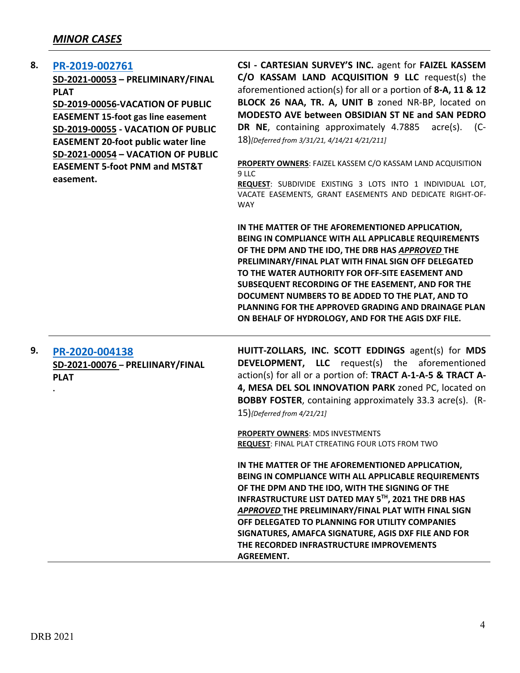| 8. | PR-2019-002761<br>SD-2021-00053 - PRELIMINARY/FINAL<br><b>PLAT</b><br>SD-2019-00056-VACATION OF PUBLIC<br><b>EASEMENT 15-foot gas line easement</b><br>SD-2019-00055 - VACATION OF PUBLIC<br><b>EASEMENT 20-foot public water line</b><br>SD-2021-00054 - VACATION OF PUBLIC<br><b>EASEMENT 5-foot PNM and MST&amp;T</b><br>easement. | CSI - CARTESIAN SURVEY'S INC. agent for FAIZEL KASSEM<br>C/O KASSAM LAND ACQUISITION 9 LLC request(s) the<br>aforementioned action(s) for all or a portion of 8-A, 11 & 12<br>BLOCK 26 NAA, TR. A, UNIT B zoned NR-BP, located on<br>MODESTO AVE between OBSIDIAN ST NE and SAN PEDRO<br>DR NE, containing approximately 4.7885<br>acre(s).<br>$(C-$<br>18)[Deferred from 3/31/21, 4/14/21 4/21/211]<br>PROPERTY OWNERS: FAIZEL KASSEM C/O KASSAM LAND ACQUISITION<br>9 LLC<br>REQUEST: SUBDIVIDE EXISTING 3 LOTS INTO 1 INDIVIDUAL LOT,<br>VACATE EASEMENTS, GRANT EASEMENTS AND DEDICATE RIGHT-OF-<br><b>WAY</b><br>IN THE MATTER OF THE AFOREMENTIONED APPLICATION,<br>BEING IN COMPLIANCE WITH ALL APPLICABLE REQUIREMENTS<br>OF THE DPM AND THE IDO, THE DRB HAS APPROVED THE<br>PRELIMINARY/FINAL PLAT WITH FINAL SIGN OFF DELEGATED<br>TO THE WATER AUTHORITY FOR OFF-SITE EASEMENT AND<br>SUBSEQUENT RECORDING OF THE EASEMENT, AND FOR THE<br>DOCUMENT NUMBERS TO BE ADDED TO THE PLAT, AND TO<br>PLANNING FOR THE APPROVED GRADING AND DRAINAGE PLAN<br>ON BEHALF OF HYDROLOGY, AND FOR THE AGIS DXF FILE. |
|----|---------------------------------------------------------------------------------------------------------------------------------------------------------------------------------------------------------------------------------------------------------------------------------------------------------------------------------------|----------------------------------------------------------------------------------------------------------------------------------------------------------------------------------------------------------------------------------------------------------------------------------------------------------------------------------------------------------------------------------------------------------------------------------------------------------------------------------------------------------------------------------------------------------------------------------------------------------------------------------------------------------------------------------------------------------------------------------------------------------------------------------------------------------------------------------------------------------------------------------------------------------------------------------------------------------------------------------------------------------------------------------------------------------------------------------------------------------------------|
| 9. | PR-2020-004138<br>SD-2021-00076 - PRELIINARY/FINAL<br><b>PLAT</b>                                                                                                                                                                                                                                                                     | HUITT-ZOLLARS, INC. SCOTT EDDINGS agent(s) for MDS<br>DEVELOPMENT, LLC request(s) the aforementioned<br>action(s) for all or a portion of: TRACT A-1-A-5 & TRACT A-<br>4, MESA DEL SOL INNOVATION PARK zoned PC, located on<br>BOBBY FOSTER, containing approximately 33.3 acre(s). (R-<br>15){Deferred from 4/21/21]<br><b>PROPERTY OWNERS: MDS INVESTMENTS</b><br>REQUEST: FINAL PLAT CTREATING FOUR LOTS FROM TWO                                                                                                                                                                                                                                                                                                                                                                                                                                                                                                                                                                                                                                                                                                 |
|    |                                                                                                                                                                                                                                                                                                                                       | IN THE MATTER OF THE AFOREMENTIONED APPLICATION,<br>BEING IN COMPLIANCE WITH ALL APPLICABLE REQUIREMENTS<br>OF THE DPM AND THE IDO, WITH THE SIGNING OF THE<br>INFRASTRUCTURE LIST DATED MAY 5TH, 2021 THE DRB HAS<br>APPROVED THE PRELIMINARY/FINAL PLAT WITH FINAL SIGN                                                                                                                                                                                                                                                                                                                                                                                                                                                                                                                                                                                                                                                                                                                                                                                                                                            |

*APPROVED* **THE PRELIMINARY/FINAL PLAT WITH FINAL SIGN OFF DELEGATED TO PLANNING FOR UTILITY COMPANIES SIGNATURES, AMAFCA SIGNATURE, AGIS DXF FILE AND FOR THE RECORDED INFRASTRUCTURE IMPROVEMENTS AGREEMENT.**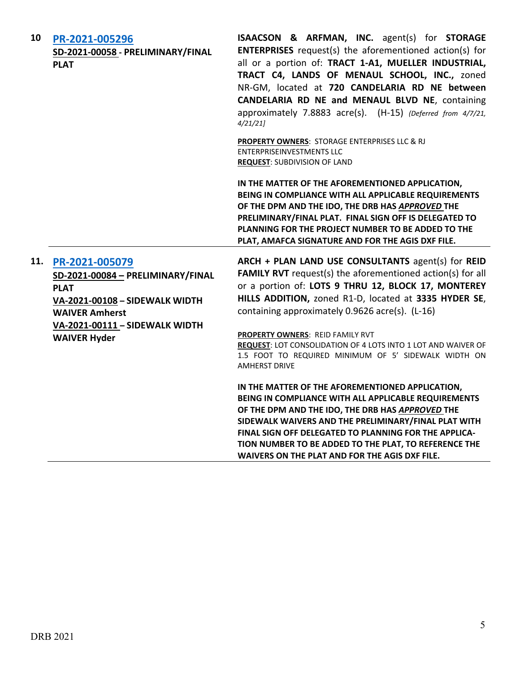| 10 | PR-2021-005296<br>SD-2021-00058 - PRELIMINARY/FINAL<br><b>PLAT</b>                                                                                                                         | <b>ISAACSON &amp; ARFMAN, INC.</b> agent(s) for <b>STORAGE</b><br><b>ENTERPRISES</b> request(s) the aforementioned action(s) for<br>all or a portion of: TRACT 1-A1, MUELLER INDUSTRIAL,<br>TRACT C4, LANDS OF MENAUL SCHOOL, INC., zoned<br>NR-GM, located at 720 CANDELARIA RD NE between<br>CANDELARIA RD NE and MENAUL BLVD NE, containing<br>approximately 7.8883 acre(s). (H-15) (Deferred from 4/7/21,<br>4/21/21 |
|----|--------------------------------------------------------------------------------------------------------------------------------------------------------------------------------------------|--------------------------------------------------------------------------------------------------------------------------------------------------------------------------------------------------------------------------------------------------------------------------------------------------------------------------------------------------------------------------------------------------------------------------|
|    |                                                                                                                                                                                            | PROPERTY OWNERS: STORAGE ENTERPRISES LLC & RJ<br><b>ENTERPRISEINVESTMENTS LLC</b><br><b>REQUEST: SUBDIVISION OF LAND</b>                                                                                                                                                                                                                                                                                                 |
|    |                                                                                                                                                                                            | IN THE MATTER OF THE AFOREMENTIONED APPLICATION,<br>BEING IN COMPLIANCE WITH ALL APPLICABLE REQUIREMENTS<br>OF THE DPM AND THE IDO, THE DRB HAS APPROVED THE<br>PRELIMINARY/FINAL PLAT. FINAL SIGN OFF IS DELEGATED TO<br>PLANNING FOR THE PROJECT NUMBER TO BE ADDED TO THE<br>PLAT, AMAFCA SIGNATURE AND FOR THE AGIS DXF FILE.                                                                                        |
|    | 11. PR-2021-005079<br>SD-2021-00084 - PRELIMINARY/FINAL<br><b>PLAT</b><br>VA-2021-00108 - SIDEWALK WIDTH<br><b>WAIVER Amherst</b><br>VA-2021-00111 - SIDEWALK WIDTH<br><b>WAIVER Hyder</b> | ARCH + PLAN LAND USE CONSULTANTS agent(s) for REID<br><b>FAMILY RVT</b> request(s) the aforementioned action(s) for all<br>or a portion of: LOTS 9 THRU 12, BLOCK 17, MONTEREY<br>HILLS ADDITION, zoned R1-D, located at 3335 HYDER SE,<br>containing approximately 0.9626 acre(s). (L-16)<br><b>PROPERTY OWNERS: REID FAMILY RVT</b>                                                                                    |
|    |                                                                                                                                                                                            | REQUEST: LOT CONSOLIDATION OF 4 LOTS INTO 1 LOT AND WAIVER OF<br>1.5 FOOT TO REQUIRED MINIMUM OF 5' SIDEWALK WIDTH ON<br><b>AMHERST DRIVE</b>                                                                                                                                                                                                                                                                            |
|    |                                                                                                                                                                                            | IN THE MATTER OF THE AFOREMENTIONED APPLICATION,<br>BEING IN COMPLIANCE WITH ALL APPLICABLE REQUIREMENTS<br>OF THE DPM AND THE IDO, THE DRB HAS APPROVED THE<br>SIDEWALK WAIVERS AND THE PRELIMINARY/FINAL PLAT WITH<br>FINAL SIGN OFF DELEGATED TO PLANNING FOR THE APPLICA-<br>TION NUMBER TO BE ADDED TO THE PLAT, TO REFERENCE THE                                                                                   |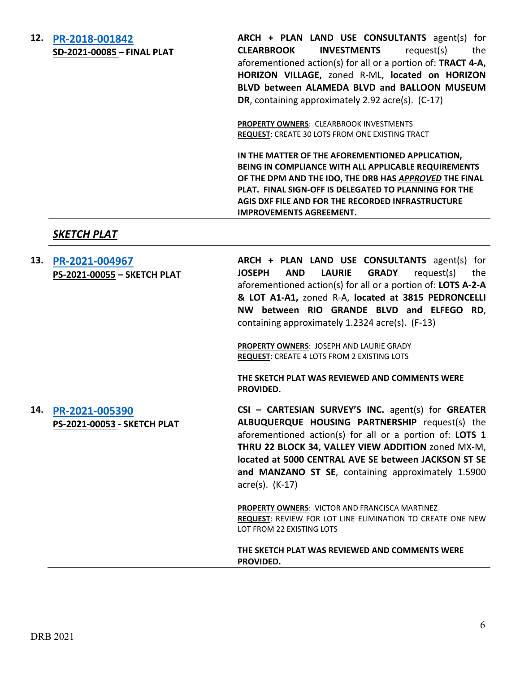| 12. | PR-2018-001842<br>SD-2021-00085 - FINAL PLAT  | ARCH + PLAN LAND USE CONSULTANTS agent(s) for<br><b>INVESTMENTS</b><br>request(s)<br><b>CLEARBROOK</b><br>the<br>aforementioned action(s) for all or a portion of: TRACT 4-A,<br>HORIZON VILLAGE, zoned R-ML, located on HORIZON<br>BLVD between ALAMEDA BLVD and BALLOON MUSEUM<br>DR, containing approximately 2.92 acre(s). (C-17)                                                                                                                                                                               |
|-----|-----------------------------------------------|---------------------------------------------------------------------------------------------------------------------------------------------------------------------------------------------------------------------------------------------------------------------------------------------------------------------------------------------------------------------------------------------------------------------------------------------------------------------------------------------------------------------|
|     |                                               | PROPERTY OWNERS: CLEARBROOK INVESTMENTS<br>REQUEST: CREATE 30 LOTS FROM ONE EXISTING TRACT                                                                                                                                                                                                                                                                                                                                                                                                                          |
|     |                                               | IN THE MATTER OF THE AFOREMENTIONED APPLICATION,<br>BEING IN COMPLIANCE WITH ALL APPLICABLE REQUIREMENTS<br>OF THE DPM AND THE IDO, THE DRB HAS APPROVED THE FINAL<br>PLAT. FINAL SIGN-OFF IS DELEGATED TO PLANNING FOR THE<br>AGIS DXF FILE AND FOR THE RECORDED INFRASTRUCTURE<br><b>IMPROVEMENTS AGREEMENT.</b>                                                                                                                                                                                                  |
|     | <b>SKETCH PLAT</b>                            |                                                                                                                                                                                                                                                                                                                                                                                                                                                                                                                     |
| 13. | PR-2021-004967<br>PS-2021-00055 - SKETCH PLAT | ARCH + PLAN LAND USE CONSULTANTS agent(s) for<br><b>LAURIE</b><br><b>GRADY</b><br>request(s)<br><b>JOSEPH</b><br><b>AND</b><br>the<br>aforementioned action(s) for all or a portion of: LOTS A-2-A<br>& LOT A1-A1, zoned R-A, located at 3815 PEDRONCELLI<br>NW between RIO GRANDE BLVD and ELFEGO RD,<br>containing approximately 1.2324 acre(s). (F-13)<br>PROPERTY OWNERS: JOSEPH AND LAURIE GRADY<br>REQUEST: CREATE 4 LOTS FROM 2 EXISTING LOTS<br>THE SKETCH PLAT WAS REVIEWED AND COMMENTS WERE<br>PROVIDED. |
| 14. | PR-2021-005390<br>PS-2021-00053 - SKETCH PLAT | CSI - CARTESIAN SURVEY'S INC. agent(s) for GREATER<br>ALBUQUERQUE HOUSING PARTNERSHIP request(s) the<br>aforementioned action(s) for all or a portion of: LOTS 1<br>THRU 22 BLOCK 34, VALLEY VIEW ADDITION zoned MX-M,<br>located at 5000 CENTRAL AVE SE between JACKSON ST SE<br>and MANZANO ST SE, containing approximately 1.5900<br>acre(s). (K-17)                                                                                                                                                             |
|     |                                               | PROPERTY OWNERS: VICTOR AND FRANCISCA MARTINEZ<br>REQUEST: REVIEW FOR LOT LINE ELIMINATION TO CREATE ONE NEW<br>LOT FROM 22 EXISTING LOTS                                                                                                                                                                                                                                                                                                                                                                           |
|     |                                               | THE SKETCH PLAT WAS REVIEWED AND COMMENTS WERE<br>PROVIDED.                                                                                                                                                                                                                                                                                                                                                                                                                                                         |